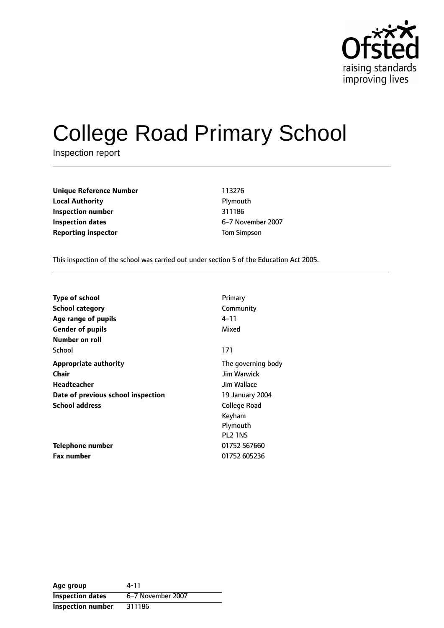

# College Road Primary School

Inspection report

| <b>Unique Reference Number</b> | 113276             |
|--------------------------------|--------------------|
| <b>Local Authority</b>         | Plymouth           |
| Inspection number              | 311186             |
| Inspection dates               | 6-7 Novembe        |
| <b>Reporting inspector</b>     | <b>Tom Simpson</b> |

**Unique Reference Number** 113276 **Plymouth Inspection number** 311186 **Inspection dates** 67 November 2007

This inspection of the school was carried out under section 5 of the Education Act 2005.

| <b>Type of school</b>              | Primary                         |
|------------------------------------|---------------------------------|
| <b>School category</b>             | Community                       |
| Age range of pupils                | 4–11                            |
| <b>Gender of pupils</b>            | Mixed                           |
| Number on roll                     |                                 |
| School                             | 171                             |
| <b>Appropriate authority</b>       | The governing body              |
| Chair                              | <b>Jim Warwick</b>              |
| Headteacher                        | Jim Wallace                     |
| Date of previous school inspection | 19 January 2004                 |
| <b>School address</b>              | College Road                    |
|                                    | Keyham                          |
|                                    | Plymouth                        |
|                                    | PL <sub>2</sub> 1N <sub>S</sub> |
| Telephone number                   | 01752 567660                    |
| <b>Fax number</b>                  | 01752 605236                    |

| Age group                | 4-11              |
|--------------------------|-------------------|
| <b>Inspection dates</b>  | 6–7 November 2007 |
| <b>Inspection number</b> | 311186            |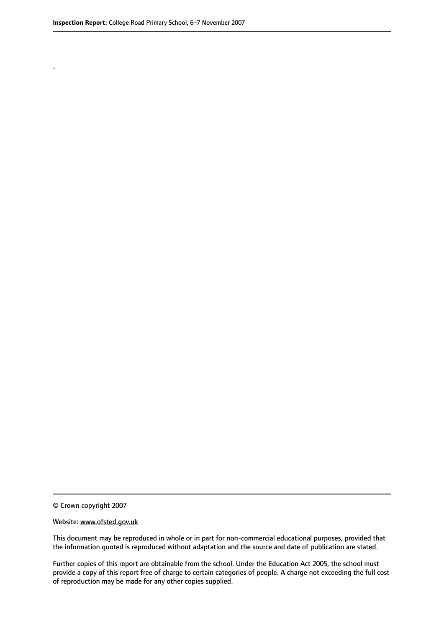.

© Crown copyright 2007

#### Website: www.ofsted.gov.uk

This document may be reproduced in whole or in part for non-commercial educational purposes, provided that the information quoted is reproduced without adaptation and the source and date of publication are stated.

Further copies of this report are obtainable from the school. Under the Education Act 2005, the school must provide a copy of this report free of charge to certain categories of people. A charge not exceeding the full cost of reproduction may be made for any other copies supplied.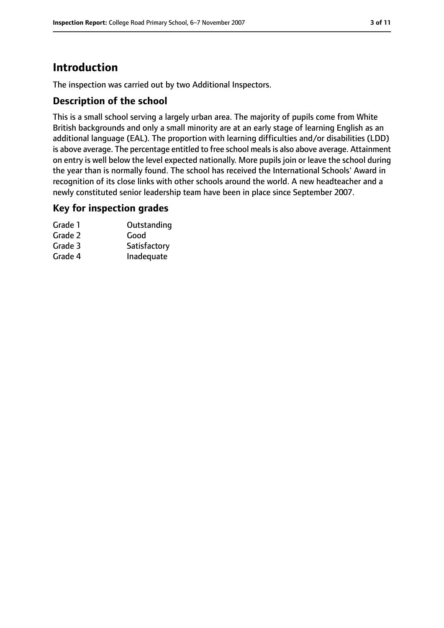# **Introduction**

The inspection was carried out by two Additional Inspectors.

#### **Description of the school**

This is a small school serving a largely urban area. The majority of pupils come from White British backgrounds and only a small minority are at an early stage of learning English as an additional language (EAL). The proportion with learning difficulties and/or disabilities (LDD) is above average. The percentage entitled to free school meals is also above average. Attainment on entry is well below the level expected nationally. More pupils join or leave the school during the year than is normally found. The school has received the International Schools' Award in recognition of its close links with other schools around the world. A new headteacher and a newly constituted senior leadership team have been in place since September 2007.

#### **Key for inspection grades**

| Grade 1 | Outstanding  |
|---------|--------------|
| Grade 2 | Good         |
| Grade 3 | Satisfactory |
| Grade 4 | Inadequate   |
|         |              |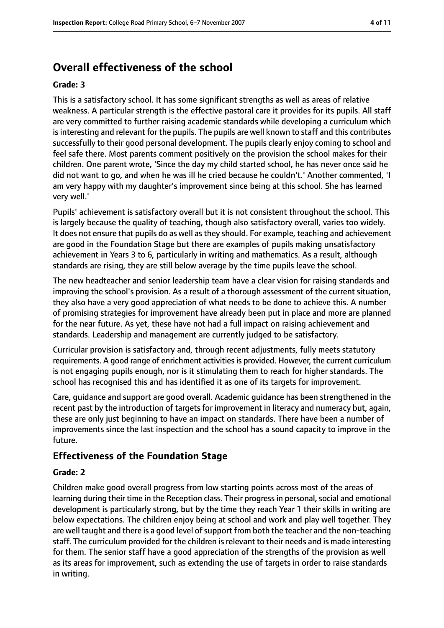# **Overall effectiveness of the school**

#### **Grade: 3**

This is a satisfactory school. It has some significant strengths as well as areas of relative weakness. A particular strength is the effective pastoral care it provides for its pupils. All staff are very committed to further raising academic standards while developing a curriculum which is interesting and relevant for the pupils. The pupils are well known to staff and this contributes successfully to their good personal development. The pupils clearly enjoy coming to school and feel safe there. Most parents comment positively on the provision the school makes for their children. One parent wrote, 'Since the day my child started school, he has never once said he did not want to go, and when he was ill he cried because he couldn't.' Another commented, 'I am very happy with my daughter's improvement since being at this school. She has learned very well.'

Pupils' achievement is satisfactory overall but it is not consistent throughout the school. This is largely because the quality of teaching, though also satisfactory overall, varies too widely. It does not ensure that pupils do as well asthey should. For example, teaching and achievement are good in the Foundation Stage but there are examples of pupils making unsatisfactory achievement in Years 3 to 6, particularly in writing and mathematics. As a result, although standards are rising, they are still below average by the time pupils leave the school.

The new headteacher and senior leadership team have a clear vision for raising standards and improving the school's provision. As a result of a thorough assessment of the current situation, they also have a very good appreciation of what needs to be done to achieve this. A number of promising strategies for improvement have already been put in place and more are planned for the near future. As yet, these have not had a full impact on raising achievement and standards. Leadership and management are currently judged to be satisfactory.

Curricular provision is satisfactory and, through recent adjustments, fully meets statutory requirements. A good range of enrichment activities is provided. However, the current curriculum is not engaging pupils enough, nor is it stimulating them to reach for higher standards. The school has recognised this and has identified it as one of its targets for improvement.

Care, guidance and support are good overall. Academic guidance has been strengthened in the recent past by the introduction of targets for improvement in literacy and numeracy but, again, these are only just beginning to have an impact on standards. There have been a number of improvements since the last inspection and the school has a sound capacity to improve in the future.

## **Effectiveness of the Foundation Stage**

#### **Grade: 2**

Children make good overall progress from low starting points across most of the areas of learning during their time in the Reception class. Their progress in personal, social and emotional development is particularly strong, but by the time they reach Year 1 their skills in writing are below expectations. The children enjoy being at school and work and play well together. They are well taught and there is a good level of support from both the teacher and the non-teaching staff. The curriculum provided for the children is relevant to their needs and is made interesting for them. The senior staff have a good appreciation of the strengths of the provision as well as its areas for improvement, such as extending the use of targets in order to raise standards in writing.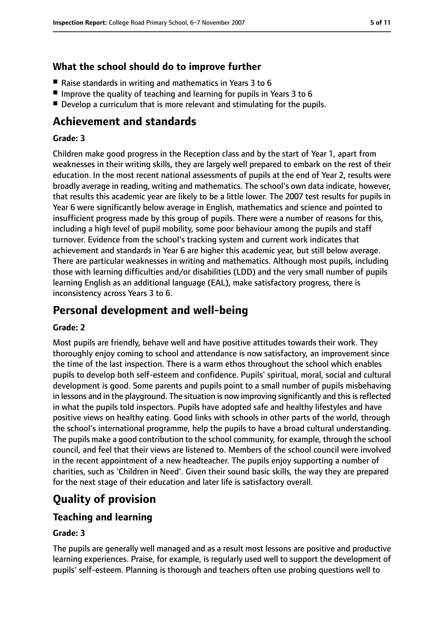## **What the school should do to improve further**

- Raise standards in writing and mathematics in Years 3 to 6
- Improve the quality of teaching and learning for pupils in Years 3 to 6
- Develop a curriculum that is more relevant and stimulating for the pupils.

## **Achievement and standards**

#### **Grade: 3**

Children make good progress in the Reception class and by the start of Year 1, apart from weaknesses in their writing skills, they are largely well prepared to embark on the rest of their education. In the most recent national assessments of pupils at the end of Year 2, results were broadly average in reading, writing and mathematics. The school's own data indicate, however, that results this academic year are likely to be a little lower. The 2007 test results for pupils in Year 6 were significantly below average in English, mathematics and science and pointed to insufficient progress made by this group of pupils. There were a number of reasons for this, including a high level of pupil mobility, some poor behaviour among the pupils and staff turnover. Evidence from the school's tracking system and current work indicates that achievement and standards in Year 6 are higher this academic year, but still below average. There are particular weaknesses in writing and mathematics. Although most pupils, including those with learning difficulties and/or disabilities (LDD) and the very small number of pupils learning English as an additional language (EAL), make satisfactory progress, there is inconsistency across Years 3 to 6.

## **Personal development and well-being**

#### **Grade: 2**

Most pupils are friendly, behave well and have positive attitudes towards their work. They thoroughly enjoy coming to school and attendance is now satisfactory, an improvement since the time of the last inspection. There is a warm ethos throughout the school which enables pupils to develop both self-esteem and confidence. Pupils' spiritual, moral, social and cultural development is good. Some parents and pupils point to a small number of pupils misbehaving in lessons and in the playground. The situation is now improving significantly and this is reflected in what the pupils told inspectors. Pupils have adopted safe and healthy lifestyles and have positive views on healthy eating. Good links with schools in other parts of the world, through the school's international programme, help the pupils to have a broad cultural understanding. The pupils make a good contribution to the school community, for example, through the school council, and feel that their views are listened to. Members of the school council were involved in the recent appointment of a new headteacher. The pupils enjoy supporting a number of charities, such as 'Children in Need'. Given their sound basic skills, the way they are prepared for the next stage of their education and later life is satisfactory overall.

## **Quality of provision**

## **Teaching and learning**

#### **Grade: 3**

The pupils are generally well managed and as a result most lessons are positive and productive learning experiences. Praise, for example, is regularly used well to support the development of pupils' self-esteem. Planning is thorough and teachers often use probing questions well to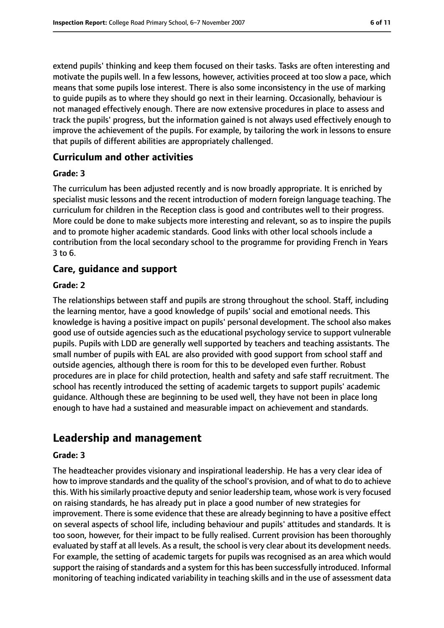extend pupils' thinking and keep them focused on their tasks. Tasks are often interesting and motivate the pupils well. In a few lessons, however, activities proceed at too slow a pace, which means that some pupils lose interest. There is also some inconsistency in the use of marking to guide pupils as to where they should go next in their learning. Occasionally, behaviour is not managed effectively enough. There are now extensive procedures in place to assess and track the pupils' progress, but the information gained is not always used effectively enough to improve the achievement of the pupils. For example, by tailoring the work in lessons to ensure that pupils of different abilities are appropriately challenged.

#### **Curriculum and other activities**

#### **Grade: 3**

The curriculum has been adjusted recently and is now broadly appropriate. It is enriched by specialist music lessons and the recent introduction of modern foreign language teaching. The curriculum for children in the Reception class is good and contributes well to their progress. More could be done to make subjects more interesting and relevant, so as to inspire the pupils and to promote higher academic standards. Good links with other local schools include a contribution from the local secondary school to the programme for providing French in Years 3 to 6.

## **Care, guidance and support**

#### **Grade: 2**

The relationships between staff and pupils are strong throughout the school. Staff, including the learning mentor, have a good knowledge of pupils' social and emotional needs. This knowledge is having a positive impact on pupils' personal development. The school also makes good use of outside agencies such as the educational psychology service to support vulnerable pupils. Pupils with LDD are generally well supported by teachers and teaching assistants. The small number of pupils with EAL are also provided with good support from school staff and outside agencies, although there is room for this to be developed even further. Robust procedures are in place for child protection, health and safety and safe staff recruitment. The school has recently introduced the setting of academic targets to support pupils' academic guidance. Although these are beginning to be used well, they have not been in place long enough to have had a sustained and measurable impact on achievement and standards.

## **Leadership and management**

#### **Grade: 3**

The headteacher provides visionary and inspirational leadership. He has a very clear idea of how to improve standards and the quality of the school's provision, and of what to do to achieve this. With his similarly proactive deputy and senior leadership team, whose work is very focused on raising standards, he has already put in place a good number of new strategies for improvement. There is some evidence that these are already beginning to have a positive effect on several aspects of school life, including behaviour and pupils' attitudes and standards. It is too soon, however, for their impact to be fully realised. Current provision has been thoroughly evaluated by staff at all levels. As a result, the school is very clear about its development needs. For example, the setting of academic targets for pupils was recognised as an area which would support the raising of standards and a system for this has been successfully introduced. Informal monitoring of teaching indicated variability in teaching skills and in the use of assessment data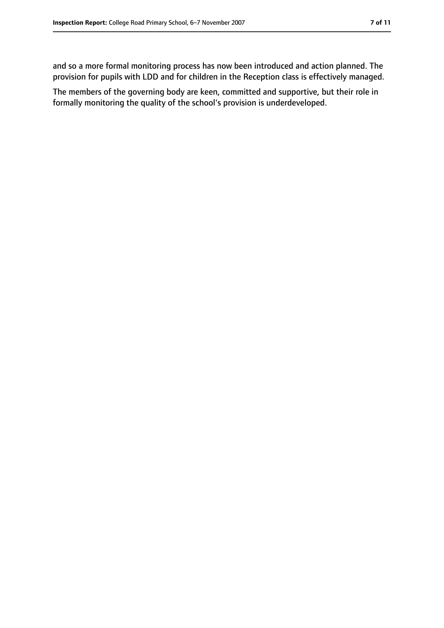and so a more formal monitoring process has now been introduced and action planned. The provision for pupils with LDD and for children in the Reception class is effectively managed.

The members of the governing body are keen, committed and supportive, but their role in formally monitoring the quality of the school's provision is underdeveloped.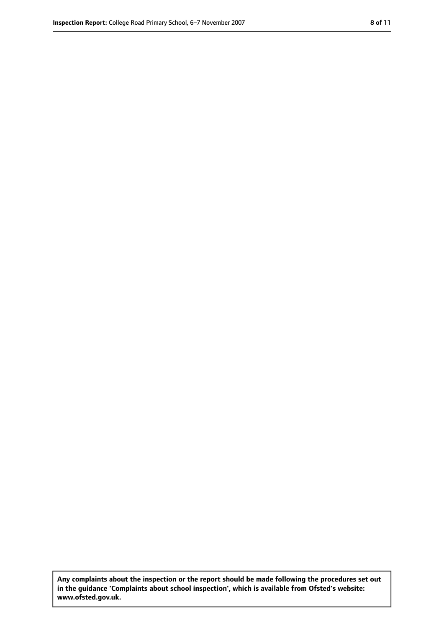**Any complaints about the inspection or the report should be made following the procedures set out in the guidance 'Complaints about school inspection', which is available from Ofsted's website: www.ofsted.gov.uk.**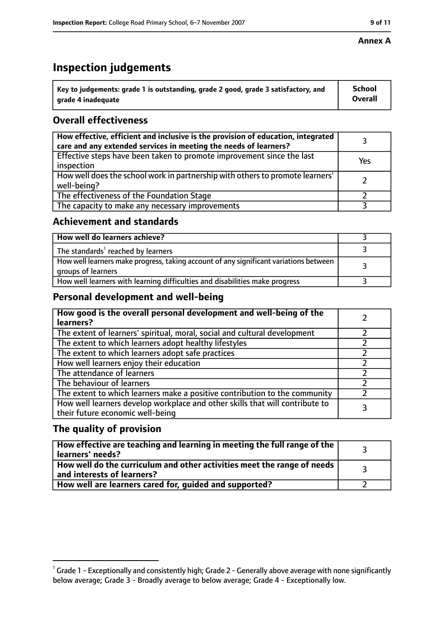## **Inspection judgements**

| $^{\backprime}$ Key to judgements: grade 1 is outstanding, grade 2 good, grade 3 satisfactory, and | <b>School</b>  |
|----------------------------------------------------------------------------------------------------|----------------|
| arade 4 inadequate                                                                                 | <b>Overall</b> |

## **Overall effectiveness**

| How effective, efficient and inclusive is the provision of education, integrated<br>care and any extended services in meeting the needs of learners? |     |
|------------------------------------------------------------------------------------------------------------------------------------------------------|-----|
| Effective steps have been taken to promote improvement since the last<br>inspection                                                                  | Yes |
| How well does the school work in partnership with others to promote learners'<br>well-being?                                                         |     |
| The effectiveness of the Foundation Stage                                                                                                            |     |
| The capacity to make any necessary improvements                                                                                                      |     |

#### **Achievement and standards**

| How well do learners achieve?                                                                               |  |
|-------------------------------------------------------------------------------------------------------------|--|
| The standards <sup>1</sup> reached by learners                                                              |  |
| How well learners make progress, taking account of any significant variations between<br>groups of learners |  |
| How well learners with learning difficulties and disabilities make progress                                 |  |

## **Personal development and well-being**

| How good is the overall personal development and well-being of the<br>learners?                                  |  |
|------------------------------------------------------------------------------------------------------------------|--|
| The extent of learners' spiritual, moral, social and cultural development                                        |  |
| The extent to which learners adopt healthy lifestyles                                                            |  |
| The extent to which learners adopt safe practices                                                                |  |
| How well learners enjoy their education                                                                          |  |
| The attendance of learners                                                                                       |  |
| The behaviour of learners                                                                                        |  |
| The extent to which learners make a positive contribution to the community                                       |  |
| How well learners develop workplace and other skills that will contribute to<br>their future economic well-being |  |

## **The quality of provision**

| How effective are teaching and learning in meeting the full range of the<br>learners' needs?          |  |
|-------------------------------------------------------------------------------------------------------|--|
| How well do the curriculum and other activities meet the range of needs<br>and interests of learners? |  |
| How well are learners cared for, guided and supported?                                                |  |

 $^1$  Grade 1 - Exceptionally and consistently high; Grade 2 - Generally above average with none significantly below average; Grade 3 - Broadly average to below average; Grade 4 - Exceptionally low.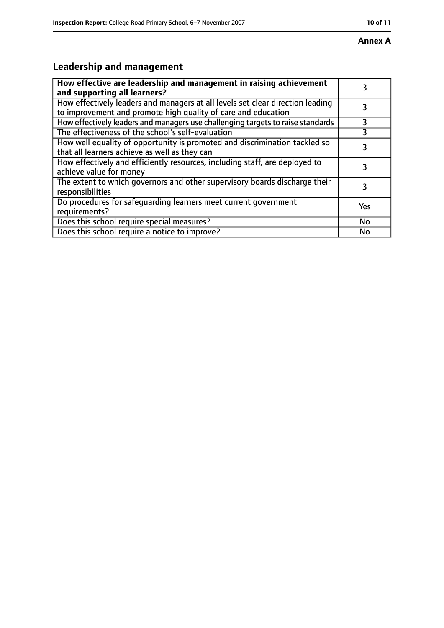# **Leadership and management**

| How effective are leadership and management in raising achievement<br>and supporting all learners?                                              |     |
|-------------------------------------------------------------------------------------------------------------------------------------------------|-----|
| How effectively leaders and managers at all levels set clear direction leading<br>to improvement and promote high quality of care and education |     |
| How effectively leaders and managers use challenging targets to raise standards                                                                 | 3   |
| The effectiveness of the school's self-evaluation                                                                                               |     |
| How well equality of opportunity is promoted and discrimination tackled so<br>that all learners achieve as well as they can                     | 3   |
| How effectively and efficiently resources, including staff, are deployed to<br>achieve value for money                                          | 3   |
| The extent to which governors and other supervisory boards discharge their<br>responsibilities                                                  | 3   |
| Do procedures for safequarding learners meet current government<br>requirements?                                                                | Yes |
| Does this school require special measures?                                                                                                      | No  |
| Does this school require a notice to improve?                                                                                                   | No  |